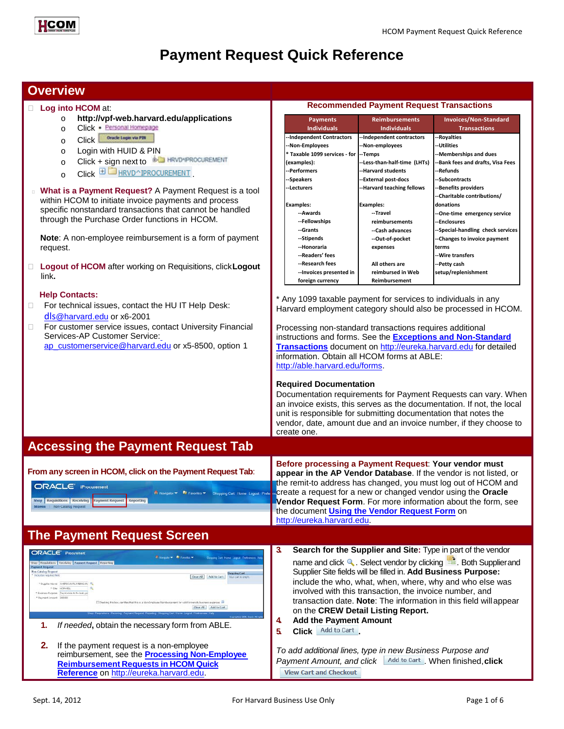

# **Payment Request Quick Reference**

### **Overview**

### **Log into HCOM** at:

- o **[http://vpf-w](http://vpf/)eb.harvard.edu/applications**
- o Click · Personal Homepage
- O Click Oracle Login via PIN
- o Login with HUID & PIN
- o Click + sign next to **DE HRVD-IPROCUREMENT**
- $C$ lick  $\boxplus \Box_{HRVD \cap IPROCUREMENT}$ .
- **What is a Payment Request?** A Payment Request is a tool within HCOM to initiate invoice payments and process specific nonstandard transactions that cannot be handled through the Purchase Order functions in HCOM.

**Note**: A non-employee reimbursement is a form of payment request.

 **Logout of HCOM** after working on Requisitions, click**Logout** link**.**

### **Help Contacts:**

- □ For technical issues, contact the HU IT Help Desk: dls[@harvard.edu](mailto:dls@harvard.edu) or x6-2001
- □ For customer service issues, contact University Financial Services-AP Customer Service:

[ap\\_customerservice@harvard.edu](mailto:ap_customerservice@harvard.edu) or x5-8500, option 1

### **Recommended Payment Request Transactions**

| <b>Payments</b>               | <b>Reimbursements</b>        | Invoices/Non-Standard             |  |
|-------------------------------|------------------------------|-----------------------------------|--|
| <b>Individuals</b>            | <b>Individuals</b>           | <b>Transactions</b>               |  |
| --Independent Contractors     | --Independent contractors    | --Royalties                       |  |
| --Non-Employees               | --Non-employees              | --Utilities                       |  |
| * Taxable 1099 services - for | --Temps                      | --Memberships and dues            |  |
| (examples):                   | --Less-than-half-time (LHTs) | --Bank fees and drafts, Visa Fees |  |
| --Performers                  | --Harvard students           | --Refunds                         |  |
| --Speakers                    | --External post-docs         | --Subcontracts                    |  |
| --Lecturers                   | --Harvard teaching fellows   | --Benefits providers              |  |
|                               |                              | --Charitable contributions/       |  |
| <b>Examples:</b>              | <b>Examples:</b>             | donations                         |  |
| --Awards                      | --Travel                     | --One-time emergency service      |  |
| --Fellowships                 | reimbursements               | --Enclosures                      |  |
| --Grants                      | --Cash advances              | --Special-handling check services |  |
| --Stipends                    | --Out-of-pocket              | --Changes to invoice payment      |  |
| --Honoraria                   | expenses                     | terms                             |  |
| --Readers' fees               |                              | --Wire transfers                  |  |
| --Research fees               | All others are               | --Petty cash                      |  |
| --Invoices presented in       | reimbursed in Web            | setup/replenishment               |  |
| foreign currency              | Reimbursement                |                                   |  |

\* Any 1099 taxable payment for services to individuals in any Harvard employment category should also be processed in HCOM.

Processing non-standard transactions requires additional instructions and forms. See the **[Exceptions and Non-Standard](http://eureka.harvard.edu/eureka/getDocument.cfm?id=727&sAppID=6) [Transactions](http://eureka.harvard.edu/eureka/getDocument.cfm?id=727&sAppID=6)** document on [http://eureka.harvard.edu](http://eureka.harvard.edu/) for detailed information. Obtain all HCOM forms at ABLE: [http://able.harvard.edu/forms.](http://able.harvard.edu/forms)

### **Required Documentation**

[http://eureka.harvard.edu.](http://eureka.harvard.edu/)

Documentation requirements for Payment Requests can vary. When an invoice exists, this serves as the documentation. If not, the local unit is responsible for submitting documentation that notes the vendor, date, amount due and an invoice number, if they choose to create one.

**Before processing a Payment Request**: **Your vendor must appear in the AP Vendor Database**. If the vendor is not listed, or the remit-to address has changed, you must log out of HCOM and create a request for a new or changed vendor using the **Oracle Vendor Request Form**. For more information about the form, see

the document **[Using the Vendor Request Form](http://eureka.harvard.edu/eureka/getDocument.cfm?id=892&sAppID=6)** on

## **Accessing the Payment Request Tab**

**From any screen in HCOM, click on the Payment Request Tab**:

**ORACLE** 

# **The Payment Request Screen**

|                                                                                              | <b>ORACLE</b> Procurement                                                                                                                                                                                                                                                                                        | з | Search for the Supplier and Site: Type in part of the vendor                                                                                                                                                                                                                                    |
|----------------------------------------------------------------------------------------------|------------------------------------------------------------------------------------------------------------------------------------------------------------------------------------------------------------------------------------------------------------------------------------------------------------------|---|-------------------------------------------------------------------------------------------------------------------------------------------------------------------------------------------------------------------------------------------------------------------------------------------------|
| <b>Poyment Request</b>                                                                       | Witniggtown, El Forester w<br>Shereine Carl Home: Laggat Firebroncoo, Hell<br>Thus Requisitions   Receiving   Payment Request   Reporting                                                                                                                                                                        |   | name and click Q. Select vendor by clicking $\frac{m}{2}$ . Both Supplier and                                                                                                                                                                                                                   |
| <b>Nea-Catalog Roquest</b><br><b>Tricination regulated flick!</b><br>* Payment Amount 200.00 | <b>Chocolog Cort</b><br>Add to Cart<br>YOUR CARE IS STOLE<br><sup>#</sup> Sunday Name: AMERICAN RUNGERO AN<br><b>NEWHIP</b><br>* Business Purpose : Pay invoice to fix laals pi<br>Checking this box, certifies that this is a Non-Employee Raimbursement for valid University business expenses.<br>Add to Cart |   | Supplier Site fields will be filled in. Add Business Purpose:<br>include the who, what, when, where, why and who else was<br>involved with this transaction, the invoice number, and<br>transaction date. Note: The information in this field will appear<br>on the CREW Detail Listing Report. |
|                                                                                              | If needed, obtain the necessary form from ABLE.                                                                                                                                                                                                                                                                  | 4 | <b>Add the Payment Amount</b><br><b>Click</b> Add to Cart                                                                                                                                                                                                                                       |
|                                                                                              | If the payment request is a non-employee<br>reimbursement, see the <b>Processing Non-Employee</b><br><b>Reimbursement Requests in HCOM Quick</b><br>Reference on http://eureka.harvard.edu.                                                                                                                      |   | To add additional lines, type in new Business Purpose and<br>Payment Amount, and click Add to Cart When finished, click<br><b>View Cart and Checkout</b>                                                                                                                                        |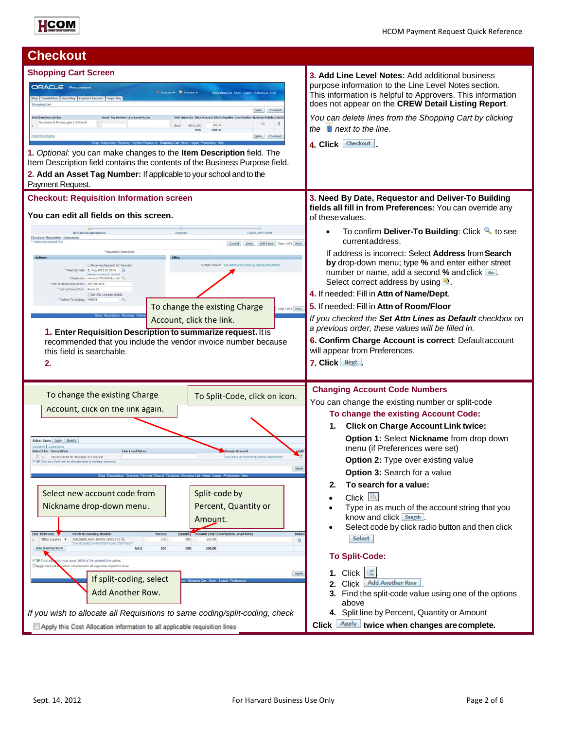

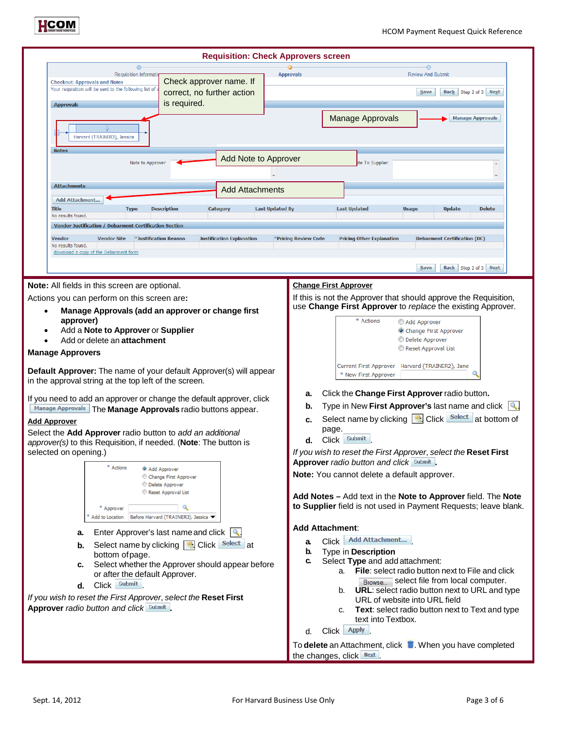

| <b>Requisition: Check Approvers screen</b>                                                                                                                                                                                                                                                                                                                                                                                                                                                                                                                                                                                                                                                                                                                                                                                                                                                                                                                                        |                                                                                                                                                                                                                                                        |                                                                                                                                                                                                                                                                                                                                                                                                                                                                                                                                                                                                                                                                                                                                                                                                                                                                                                                                                                                                                                                                                                                                                                                                                                                                                                                                                                     |  |  |  |  |  |
|-----------------------------------------------------------------------------------------------------------------------------------------------------------------------------------------------------------------------------------------------------------------------------------------------------------------------------------------------------------------------------------------------------------------------------------------------------------------------------------------------------------------------------------------------------------------------------------------------------------------------------------------------------------------------------------------------------------------------------------------------------------------------------------------------------------------------------------------------------------------------------------------------------------------------------------------------------------------------------------|--------------------------------------------------------------------------------------------------------------------------------------------------------------------------------------------------------------------------------------------------------|---------------------------------------------------------------------------------------------------------------------------------------------------------------------------------------------------------------------------------------------------------------------------------------------------------------------------------------------------------------------------------------------------------------------------------------------------------------------------------------------------------------------------------------------------------------------------------------------------------------------------------------------------------------------------------------------------------------------------------------------------------------------------------------------------------------------------------------------------------------------------------------------------------------------------------------------------------------------------------------------------------------------------------------------------------------------------------------------------------------------------------------------------------------------------------------------------------------------------------------------------------------------------------------------------------------------------------------------------------------------|--|--|--|--|--|
| Requisition Informati<br><b>Checkout: Approvals and Notes</b><br>Your requisition will be sent to the following list of                                                                                                                                                                                                                                                                                                                                                                                                                                                                                                                                                                                                                                                                                                                                                                                                                                                           | Check approver name. If                                                                                                                                                                                                                                | <b>Review And Submit</b><br><b>Approvals</b>                                                                                                                                                                                                                                                                                                                                                                                                                                                                                                                                                                                                                                                                                                                                                                                                                                                                                                                                                                                                                                                                                                                                                                                                                                                                                                                        |  |  |  |  |  |
| <b>Approvals</b>                                                                                                                                                                                                                                                                                                                                                                                                                                                                                                                                                                                                                                                                                                                                                                                                                                                                                                                                                                  | correct, no further action<br>is required.                                                                                                                                                                                                             | Back Step 2 of 3 Next<br>Save                                                                                                                                                                                                                                                                                                                                                                                                                                                                                                                                                                                                                                                                                                                                                                                                                                                                                                                                                                                                                                                                                                                                                                                                                                                                                                                                       |  |  |  |  |  |
| Harvard (TRAINER3), Jessica                                                                                                                                                                                                                                                                                                                                                                                                                                                                                                                                                                                                                                                                                                                                                                                                                                                                                                                                                       |                                                                                                                                                                                                                                                        | <b>Manage Approvals</b><br><b>Manage Approvals</b>                                                                                                                                                                                                                                                                                                                                                                                                                                                                                                                                                                                                                                                                                                                                                                                                                                                                                                                                                                                                                                                                                                                                                                                                                                                                                                                  |  |  |  |  |  |
| <b>Notes</b><br>Note to Approver                                                                                                                                                                                                                                                                                                                                                                                                                                                                                                                                                                                                                                                                                                                                                                                                                                                                                                                                                  | Add Note to Approver                                                                                                                                                                                                                                   | te To Supplier                                                                                                                                                                                                                                                                                                                                                                                                                                                                                                                                                                                                                                                                                                                                                                                                                                                                                                                                                                                                                                                                                                                                                                                                                                                                                                                                                      |  |  |  |  |  |
| <b>Attachments</b>                                                                                                                                                                                                                                                                                                                                                                                                                                                                                                                                                                                                                                                                                                                                                                                                                                                                                                                                                                | <b>Add Attachments</b>                                                                                                                                                                                                                                 |                                                                                                                                                                                                                                                                                                                                                                                                                                                                                                                                                                                                                                                                                                                                                                                                                                                                                                                                                                                                                                                                                                                                                                                                                                                                                                                                                                     |  |  |  |  |  |
| <b>Add Attachment</b><br>Title<br><b>Type</b><br>No results found.<br>Vendor Justification / Debarment Certification Section                                                                                                                                                                                                                                                                                                                                                                                                                                                                                                                                                                                                                                                                                                                                                                                                                                                      | <b>Description</b><br>Category                                                                                                                                                                                                                         | <b>Last Updated By</b><br><b>Last Updated</b><br><b>Usage</b><br><b>Update</b><br><b>Delete</b>                                                                                                                                                                                                                                                                                                                                                                                                                                                                                                                                                                                                                                                                                                                                                                                                                                                                                                                                                                                                                                                                                                                                                                                                                                                                     |  |  |  |  |  |
| <b>Vendor Site</b><br>*Justification Reason<br><b>Vendor</b><br>No results found.<br>download a copy of the Debarment form                                                                                                                                                                                                                                                                                                                                                                                                                                                                                                                                                                                                                                                                                                                                                                                                                                                        | <b>Justification Explanation</b>                                                                                                                                                                                                                       | <b>Pricing Other Explanation</b><br>*Pricing Review Code<br><b>Debarment Certification (DC)</b>                                                                                                                                                                                                                                                                                                                                                                                                                                                                                                                                                                                                                                                                                                                                                                                                                                                                                                                                                                                                                                                                                                                                                                                                                                                                     |  |  |  |  |  |
| Note: All fields in this screen are optional.                                                                                                                                                                                                                                                                                                                                                                                                                                                                                                                                                                                                                                                                                                                                                                                                                                                                                                                                     |                                                                                                                                                                                                                                                        | Back Step 2 of 3 Next<br>Save<br><b>Change First Approver</b>                                                                                                                                                                                                                                                                                                                                                                                                                                                                                                                                                                                                                                                                                                                                                                                                                                                                                                                                                                                                                                                                                                                                                                                                                                                                                                       |  |  |  |  |  |
| Actions you can perform on this screen are:<br>Manage Approvals (add an approver or change first<br>approver)<br>Add a Note to Approver or Supplier<br>Add or delete an attachment<br><b>Manage Approvers</b><br>Default Approver: The name of your default Approver(s) will appear<br>in the approval string at the top left of the screen.<br>If you need to add an approver or change the default approver, click<br>Manage Approvals The Manage Approvals radio buttons appear.<br><b>Add Approver</b><br>Select the Add Approver radio button to add an additional<br>approver(s) to this Requisition, if needed. (Note: The button is<br>selected on opening.)<br>* Actions<br>@ Add Approver<br>* Approver<br>Add to Location Before Harvard (TRAINER3), Jessica<br>a.<br>b.<br>bottom of page.<br>c.<br>or after the default Approver.<br>Click Submit<br>d.<br>If you wish to reset the First Approver, select the Reset First<br>Approver radio button and click Submit | Change First Approver<br><sup>1</sup> Delete Approver<br>Reset Approval List<br>Enter Approver's last name and click $\left \mathbf{Q}\right $<br>Select name by clicking <b>B</b> Click Select at<br>Select whether the Approver should appear before | If this is not the Approver that should approve the Requisition,<br>use Change First Approver to replace the existing Approver.<br>* Actions<br>Add Approver<br>Change First Approver<br>Delete Approver<br>Reset Approval List<br>Harvard (TRAINER2), Jane<br>Current First Approver<br>* New First Approver<br>Click the Change First Approver radio button.<br>а.<br>Type in New First Approver's last name and click $\left \mathbf{Q}\right $<br>b.<br>Select name by clicking <b>B</b> Click Select at bottom of<br>c.<br>page.<br>Click Submit<br>d.<br>If you wish to reset the First Approver, select the Reset First<br>Approver radio button and click Submit.<br>Note: You cannot delete a default approver.<br>Add Notes - Add text in the Note to Approver field. The Note<br>to Supplier field is not used in Payment Requests; leave blank.<br><b>Add Attachment:</b><br>Click Add Attachment<br>a.<br>b.<br>Type in Description<br>Select Type and add attachment:<br>c.<br><b>File:</b> select radio button next to File and click<br>a.<br>Browse select file from local computer.<br>b. URL: select radio button next to URL and type<br>URL of website into URL field<br>Text: select radio button next to Text and type<br>c.<br>text into Textbox.<br>Click <b>Apply</b><br>d.<br>To delete an Attachment, click in. When you have completed |  |  |  |  |  |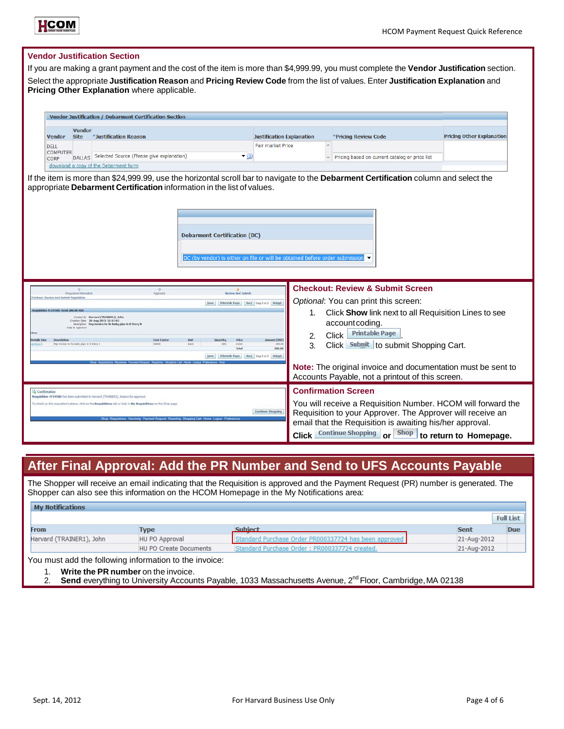

### **Vendor Justification Section**

If you are making a grant payment and the cost of the item is more than \$4,999.99, you must complete the **Vendor Justification** section. Select the appropriate **Justification Reason** and **Pricing Review Code** from the list of values. Enter **Justification Explanation** and **Pricing Other Explanation** where applicable.

|                                | Vendor Justification / Debarment Certification Section |                                                           |                                  |  |                                                |                                  |  |  |
|--------------------------------|--------------------------------------------------------|-----------------------------------------------------------|----------------------------------|--|------------------------------------------------|----------------------------------|--|--|
| <b>Vendor</b>                  | <b>Vendor</b><br><b>Site</b>                           | *Justification Reason                                     | <b>Justification Explanation</b> |  | *Pricing Review Code                           | <b>Pricing Other Explanation</b> |  |  |
| <b>DELL</b>                    |                                                        |                                                           | Fair market Price                |  |                                                |                                  |  |  |
| <b>COMPUTER</b><br><b>CORP</b> |                                                        | DALLAS Selected Source (Please give explanation)<br>▼ (i) |                                  |  | Pricing based on current catalog or price list |                                  |  |  |
|                                |                                                        | download a copy of the Debarment form                     |                                  |  |                                                |                                  |  |  |

If the item is more than \$24,999.99, use the horizontal scroll bar to navigate to the **Debarment Certification** column and select the appropriate **Debarment Certification** information in the list of values.



| Requisition Information<br>Checkeut: Roview and Sultmit Requisition                                                                                                                                                                                                                                                                          | Apprivals                                                                                                                        | Review And Submi<br>Back Step 3 of 3 Submit<br>Printable Fage                                                                                                    | <b>Checkout: Review &amp; Submit Screen</b><br>Optional: You can print this screen:                                                                                                                                                                                                                             |  |
|----------------------------------------------------------------------------------------------------------------------------------------------------------------------------------------------------------------------------------------------------------------------------------------------------------------------------------------------|----------------------------------------------------------------------------------------------------------------------------------|------------------------------------------------------------------------------------------------------------------------------------------------------------------|-----------------------------------------------------------------------------------------------------------------------------------------------------------------------------------------------------------------------------------------------------------------------------------------------------------------|--|
| Regulsition 4/11/540; Total 200.00 USD<br>Harvard (TRAIN(R1), John<br>Creation Date 20-Aug-2012 15:15:02<br>Description Pay invoice to fix leaky pipe in 8 Story B.<br>Figte to Approve<br>Lloes<br>Description<br><b>Details Line</b><br>Pay invoice to for leaky pipe in 8 Story &                                                         | <b>Cost Center</b><br>\$5850<br>Shap Requisitions Receiving Payment Request Reporting Shopping Cart Home Logout Preferences He's | Unit<br><b>Price</b><br><b>Ouantit</b><br><b>Amount (USD)</b><br>Each<br>3 USD<br>300<br>350.0<br>200.00<br>Total<br>Step 3 of 3 Submit<br><b>Printable Fage</b> | Click Show link next to all Requisition Lines to see<br>account coding.<br><b>Printable Page</b><br>Click<br>2.<br>Click Submit to submit Shopping Cart.<br>3.<br>Note: The original invoice and documentation must be sent to<br>Accounts Payable, not a printout of this screen.                              |  |
| Confirmation<br>Requisition 4719580 has been submitted to Harvard (TRABIER3), Jessica for approval.<br>To check on this requisition's status, click on the Requisitions tab or look in My Requisitions on the Shop page.<br>Continue Shopping<br>Shop Requisitions Receiving Payment Request Reporting Shopping Cart Home Logout Preferences |                                                                                                                                  |                                                                                                                                                                  | <b>Confirmation Screen</b><br>You will receive a Requisition Number. HCOM will forward the<br>Requisition to your Approver. The Approver will receive an<br>email that the Requisition is awaiting his/her approval.<br><b>Shop</b><br><b>Continue Shopping</b><br>to return to Homepage.<br><b>Click</b><br>or |  |

## **After Final Approval: Add the PR Number and Send to UFS Accounts Payable**

The Shopper will receive an email indicating that the Requisition is approved and the Payment Request (PR) number is generated. The Shopper can also see this information on the HCOM Homepage in the My Notifications area:

| <b>My Notifications</b>                                |                               |                                                       |             |                  |  |  |
|--------------------------------------------------------|-------------------------------|-------------------------------------------------------|-------------|------------------|--|--|
|                                                        |                               |                                                       |             | <b>Full List</b> |  |  |
| <b>From</b>                                            | Type                          | Subiect                                               | <b>Sent</b> | Due              |  |  |
| Harvard (TRAINER1), John                               | HU PO Approval                | Standard Purchase Order PR000337724 has been approved | 21-Aug-2012 |                  |  |  |
|                                                        | <b>HU PO Create Documents</b> | Standard Purchase Order: PR000337724 created.         | 21-Aug-2012 |                  |  |  |
| You must add the following information to the invoice: |                               |                                                       |             |                  |  |  |

1. **Write the PR number** on the invoice.

Send everything to University Accounts Payable, 1033 Massachusetts Avenue, 2<sup>nd</sup> Floor, Cambridge, MA 02138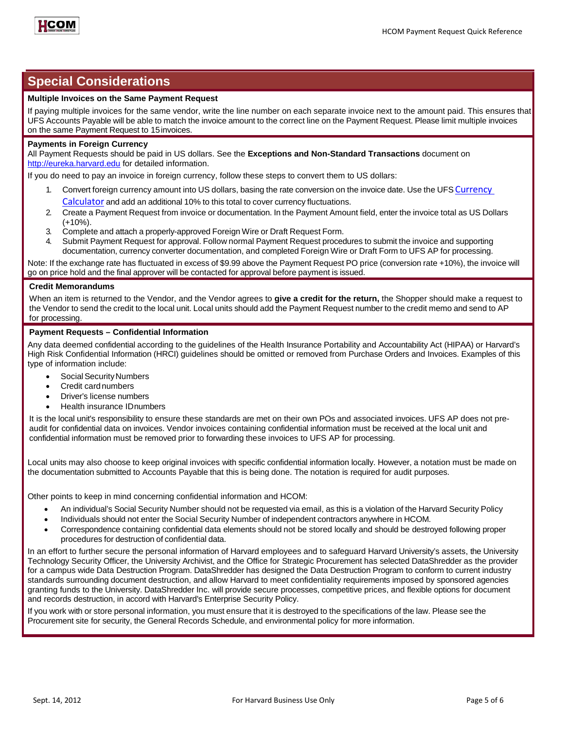

### **Special Considerations**

### **Multiple Invoices on the Same Payment Request**

If paying multiple invoices for the same vendor, write the line number on each separate invoice next to the amount paid. This ensures that UFS Accounts Payable will be able to match the invoice amount to the correct line on the Payment Request. Please limit multiple invoices on the same Payment Request to 15invoices.

### **Payments in Foreign Currency**

All Payment Requests should be paid in US dollars. See the **Exceptions and Non-Standard Transactions** document on [http://eureka.harvard.edu](http://eureka.harvard.edu/) for detailed information.

If you do need to pay an invoice in foreign currency, follow these steps to convert them to US dollars:

- Convert foreign currency amount into US dollars, basing the rate conversion on the invoice date. Use the UFS [Currency](http://www.oanda.com/currency/converter/) [Calculator](http://www.oanda.com/currency/converter/) and add an additional 10% to this total to cover currency fluctuations.
- 2. Create a Payment Request from invoice or documentation. In the Payment Amount field, enter the invoice total as US Dollars (+10%).
- 3. Complete and attach a properly-approved Foreign Wire or Draft Request Form.
- 4. Submit Payment Request for approval. Follow normal Payment Request procedures to submit the invoice and supporting documentation, currency converter documentation, and completed Foreign Wire or Draft Form to UFS AP for processing.

Note: If the exchange rate has fluctuated in excess of \$9.99 above the Payment Request PO price (conversion rate +10%), the invoice will go on price hold and the final approver will be contacted for approval before payment is issued.

#### **Credit Memorandums**

When an item is returned to the Vendor, and the Vendor agrees to **give a credit for the return,** the Shopper should make a request to the Vendor to send the credit to the local unit. Local units should add the Payment Request number to the credit memo and send to AP for processing.

### **Payment Requests – Confidential Information**

Any data deemed confidential according to the guidelines of the Health Insurance Portability and Accountability Act (HIPAA) or Harvard's [High Risk Confidential Information \(HRCI\) guidelines s](http://www.security.harvard.edu/glossary.php#Confidential_Data)hould be omitted or removed from Purchase Orders and Invoices. Examples of this type of information include:

- Social Security Numbers
- Credit cardnumbers
- Driver's license numbers
- Health insurance IDnumbers

It is the local unit's responsibility to ensure these standards are met on their own POs and associated invoices. UFS AP does not preaudit for confidential data on invoices. Vendor invoices containing confidential information must be received at the local unit and confidential information must be removed prior to forwarding these invoices to UFS AP for processing.

Local units may also choose to keep original invoices with specific confidential information locally. However, a notation must be made on the documentation submitted to Accounts Payable that this is being done. The notation is required for audit purposes.

Other points to keep in mind concerning confidential information and HCOM:

- An individual's Social Security Number should not be requested via email, as this is a violation of the Harvard [Security](http://www.security.harvard.edu/glossary.php#Confidential_Data) Policy
- Individuals should not enter the Social Security Number of independent contractors anywhere in HCOM.
- Correspondence containing confidential data elements should not be stored locally and should be destroyed following proper procedures for destruction of confidential data.

In an effort to further secure the personal information of Harvard employees and to safeguard Harvard University's assets, the University Technology Security Officer, the University Archivist, and the Office for Strategic Procurement has selected DataShredder as the provider for a campus wide Data Destruction Program. DataShredder has designed the Data Destruction Program to conform to current industry standards surrounding document destruction, and allow Harvard to meet confidentiality requirements imposed by sponsored agencies granting funds to the University. DataShredder Inc. will provide secure processes, competitive prices, and flexible options for document and records destruction, in accord with [Harvard's Enterprise Security Policy.](http://www.security.harvard.edu/glossary.php#Confidential_Data)

If you work with or store personal information, you must ensure that it is destroyed to the specifications of the law. Please see the [Procurement site f](http://vpf-web.harvard.edu/ofs/procurement/ven_par_dsr.shtml)or security, the [General Records Schedule, a](http://grs.harvard.edu/)nd [environmental policy f](http://www.greencampus.harvard.edu/)or more information.